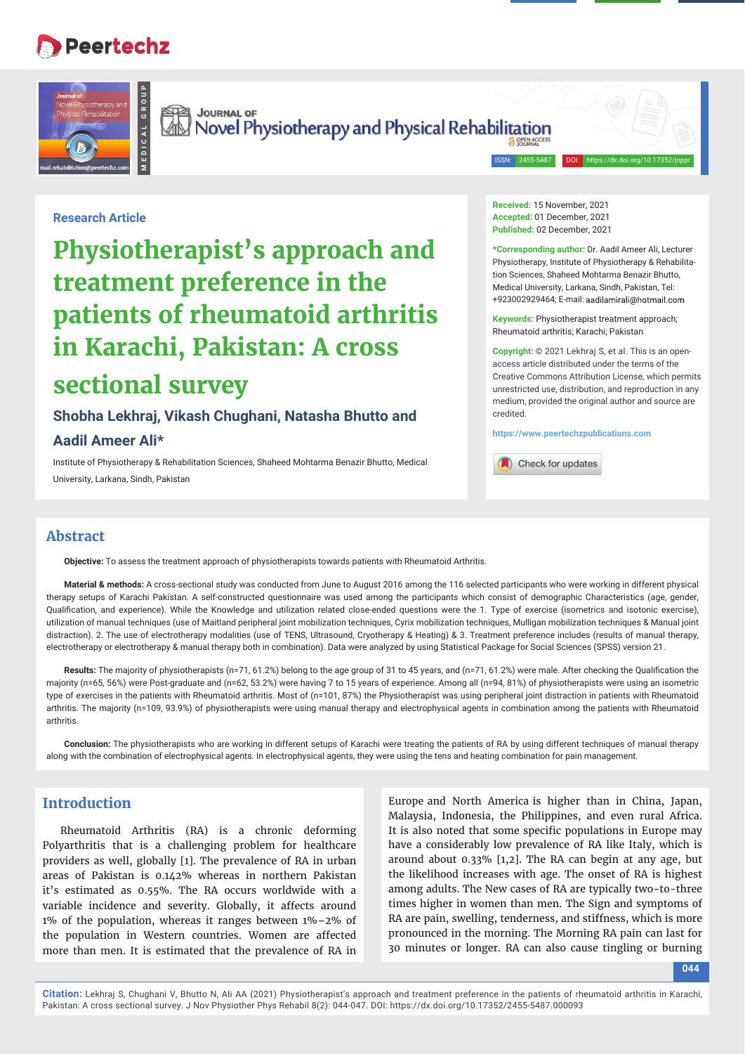# **Peertechz**

**MEDICAL GROUP**



Survey of Survey of Survey and Physical Rehabilitation

## **Research Article**

**Physiotherapist's approach and treatment preference in the patients of rheumatoid arthritis in Karachi, Pakistan: A cross sectional survey**

## **Shobha Lekhraj, Vikash Chughani, Natasha Bhutto and**

#### **Aadil Ameer Ali\***

Institute of Physiotherapy & Rehabilitation Sciences, Shaheed Mohtarma Benazir Bhutto, Medical University, Larkana, Sindh, Pakistan

**Received:** 15 November, 2021 **Accepted:** 01 December, 2021 **Published:** 02 December, 2021

ISSN: 2455-5487

**\*Corresponding author:** Dr. Aadil Ameer Ali, Lecturer Physiotherapy, Institute of Physiotherapy & Rehabilitation Sciences, Shaheed Mohtarma Benazir Bhutto, Medical University, Larkana, Sindh, Pakistan, Tel: +923002929464; E-mail:

**Keywords:** Physiotherapist treatment approach; Rheumatoid arthritis; Karachi; Pakistan

**Copyright:** © 2021 Lekhraj S, et al. This is an openaccess article distributed under the terms of the Creative Commons Attribution License, which permits unrestricted use, distribution, and reproduction in any medium, provided the original author and source are credited.

**https://www.peertechzpublications.com**



#### **Abstract**

**Objective:** To assess the treatment approach of physiotherapists towards patients with Rheumatoid Arthritis.

**Material & methods:** A cross-sectional study was conducted from June to August 2016 among the 116 selected participants who were working in different physical therapy setups of Karachi Pakistan. A self-constructed questionnaire was used among the participants which consist of demographic Characteristics (age, gender, Qualification, and experience). While the Knowledge and utilization related close-ended questions were the 1. Type of exercise (isometrics and isotonic exercise), utilization of manual techniques (use of Maitland peripheral joint mobilization techniques, Cyrix mobilization techniques, Mulligan mobilization techniques & Manual joint distraction). 2. The use of electrotherapy modalities (use of TENS, Ultrasound, Cryotherapy & Heating) & 3. Treatment preference includes (results of manual therapy, electrotherapy or electrotherapy & manual therapy both in combination). Data were analyzed by using Statistical Package for Social Sciences (SPSS) version 21.

Results: The majority of physiotherapists (n=71, 61.2%) belong to the age group of 31 to 45 years, and (n=71, 61.2%) were male. After checking the Qualification the majority (n=65, 56%) were Post-graduate and (n=62, 53.2%) were having 7 to 15 years of experience. Among all (n=94, 81%) of physiotherapists were using an isometric type of exercises in the patients with Rheumatoid arthritis. Most of (n=101, 87%) the Physiotherapist was using peripheral joint distraction in patients with Rheumatoid arthritis. The majority (n=109, 93.9%) of physiotherapists were using manual therapy and electrophysical agents in combination among the patients with Rheumatoid arthritis.

**Conclusion:** The physiotherapists who are working in different setups of Karachi were treating the patients of RA by using different techniques of manual therapy along with the combination of electrophysical agents. In electrophysical agents, they were using the tens and heating combination for pain management.

## **Introduction**

Rheumatoid Arthritis (RA) is a chronic deforming Polyarthritis that is a challenging problem for healthcare providers as well, globally [1]. The prevalence of RA in urban areas of Pakistan is 0.142% whereas in northern Pakistan it's estimated as 0.55%. The RA occurs worldwide with a variable incidence and severity. Globally, it affects around 1% of the population, whereas it ranges between 1%–2% of the population in Western countries. Women are affected more than men. It is estimated that the prevalence of RA in

Europe and North America is higher than in China, Japan, Malaysia, Indonesia, the Philippines, and even rural Africa. It is also noted that some specific populations in Europe may have a considerably low prevalence of RA like Italy, which is around about 0.33% [1,2]. The RA can begin at any age, but the likelihood increases with age. The onset of RA is highest among adults. The New cases of RA are typically two-to-three times higher in women than men. The Sign and symptoms of RA are pain, swelling, tenderness, and stiffness, which is more pronounced in the morning. The Morning RA pain can last for 30 minutes or longer. RA can also cause tingling or burning

**044**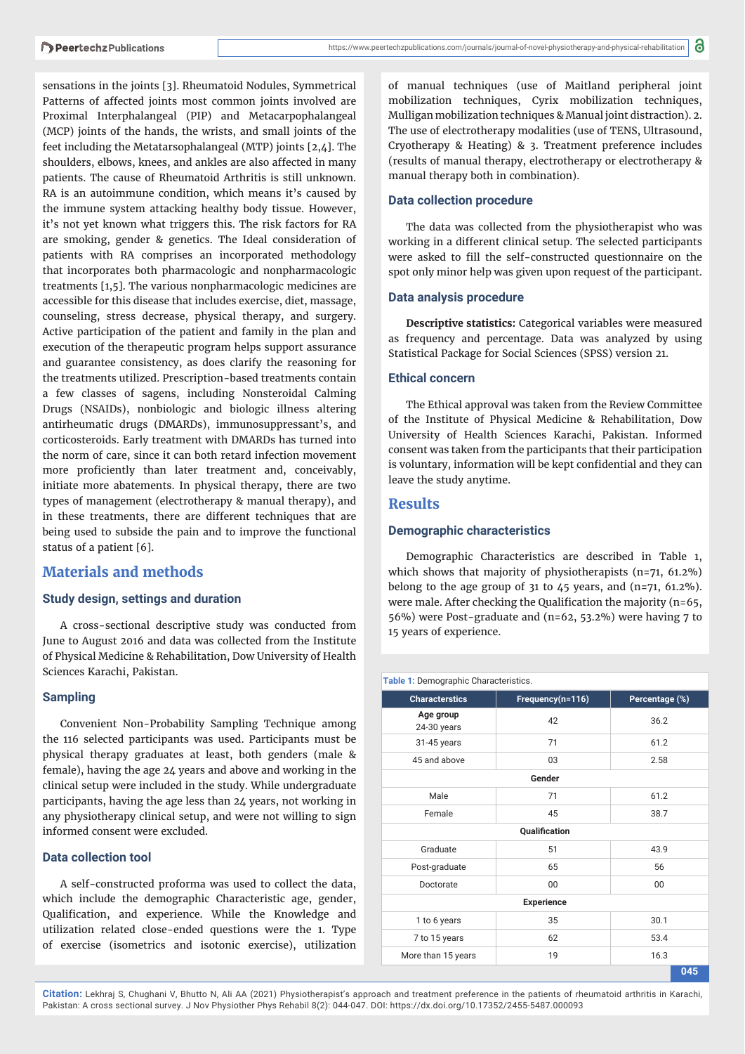sensations in the joints [3]. Rheumatoid Nodules, Symmetrical Patterns of affected joints most common joints involved are Proximal Interphalangeal (PIP) and Metacarpophalangeal (MCP) joints of the hands, the wrists, and small joints of the feet including the Metatarsophalangeal (MTP) joints [2,4]. The shoulders, elbows, knees, and ankles are also affected in many patients. The cause of Rheumatoid Arthritis is still unknown. RA is an autoimmune condition, which means it's caused by the immune system attacking healthy body tissue. However, it's not yet known what triggers this. The risk factors for RA are smoking, gender & genetics. The Ideal consideration of patients with RA comprises an incorporated methodology that incorporates both pharmacologic and nonpharmacologic treatments [1,5]. The various nonpharmacologic medicines are accessible for this disease that includes exercise, diet, massage, counseling, stress decrease, physical therapy, and surgery. Active participation of the patient and family in the plan and execution of the therapeutic program helps support assurance and guarantee consistency, as does clarify the reasoning for the treatments utilized. Prescription-based treatments contain a few classes of sagens, including Nonsteroidal Calming Drugs (NSAIDs), nonbiologic and biologic illness altering antirheumatic drugs (DMARDs), immunosuppressant's, and corticosteroids. Early treatment with DMARDs has turned into the norm of care, since it can both retard infection movement more proficiently than later treatment and, conceivably, initiate more abatements. In physical therapy, there are two types of management (electrotherapy & manual therapy), and in these treatments, there are different techniques that are being used to subside the pain and to improve the functional status of a patient [6].

## **Materials and methods**

#### **Study design, settings and duration**

A cross-sectional descriptive study was conducted from June to August 2016 and data was collected from the Institute of Physical Medicine & Rehabilitation, Dow University of Health Sciences Karachi, Pakistan.

#### **Sampling**

Convenient Non-Probability Sampling Technique among the 116 selected participants was used. Participants must be physical therapy graduates at least, both genders (male & female), having the age 24 years and above and working in the clinical setup were included in the study. While undergraduate participants, having the age less than 24 years, not working in any physiotherapy clinical setup, and were not willing to sign informed consent were excluded.

#### **Data collection tool**

A self-constructed proforma was used to collect the data, which include the demographic Characteristic age, gender, Qualification, and experience. While the Knowledge and utilization related close-ended questions were the 1. Type of exercise (isometrics and isotonic exercise), utilization

of manual techniques (use of Maitland peripheral joint mobilization techniques, Cyrix mobilization techniques, Mulligan mobilization techniques & Manual joint distraction). 2. The use of electrotherapy modalities (use of TENS, Ultrasound, Cryotherapy & Heating) & 3. Treatment preference includes (results of manual therapy, electrotherapy or electrotherapy & manual therapy both in combination).

#### **Data collection procedure**

The data was collected from the physiotherapist who was working in a different clinical setup. The selected participants were asked to fill the self-constructed questionnaire on the spot only minor help was given upon request of the participant.

#### **Data analysis procedure**

**Descriptive statistics:** Categorical variables were measured as frequency and percentage. Data was analyzed by using Statistical Package for Social Sciences (SPSS) version 21.

#### **Ethical concern**

The Ethical approval was taken from the Review Committee of the Institute of Physical Medicine & Rehabilitation, Dow University of Health Sciences Karachi, Pakistan. Informed consent was taken from the participants that their participation is voluntary, information will be kept confidential and they can leave the study anytime.

#### **Results**

#### **Demographic characteristics**

Demographic Characteristics are described in Table 1, which shows that majority of physiotherapists (n=71, 61.2%) belong to the age group of 31 to  $\angle$  5 years, and (n=71, 61.2%). were male. After checking the Qualification the majority (n=65, 56%) were Post-graduate and (n=62, 53.2%) were having 7 to 15 years of experience.

| Table 1: Demographic Characteristics. |                  |                |  |  |  |  |
|---------------------------------------|------------------|----------------|--|--|--|--|
| <b>Characterstics</b>                 | Frequency(n=116) | Percentage (%) |  |  |  |  |
| Age group<br>24-30 years              | 42               | 36.2           |  |  |  |  |
| 31-45 years                           | 71               | 61.2           |  |  |  |  |
| 45 and above                          | 03               | 2.58           |  |  |  |  |
| Gender                                |                  |                |  |  |  |  |
| Male                                  | 71               | 61.2           |  |  |  |  |
| Female                                | 45               | 38.7           |  |  |  |  |
| Qualification                         |                  |                |  |  |  |  |
| Graduate                              | 51               | 43.9           |  |  |  |  |
| Post-graduate                         | 65               | 56             |  |  |  |  |
| Doctorate                             | 00               | 00             |  |  |  |  |
| <b>Experience</b>                     |                  |                |  |  |  |  |
| 1 to 6 years                          | 35               | 30.1           |  |  |  |  |
| 7 to 15 years                         | 62               | 53.4           |  |  |  |  |
| More than 15 years                    | 19               | 16.3           |  |  |  |  |
|                                       |                  | 045            |  |  |  |  |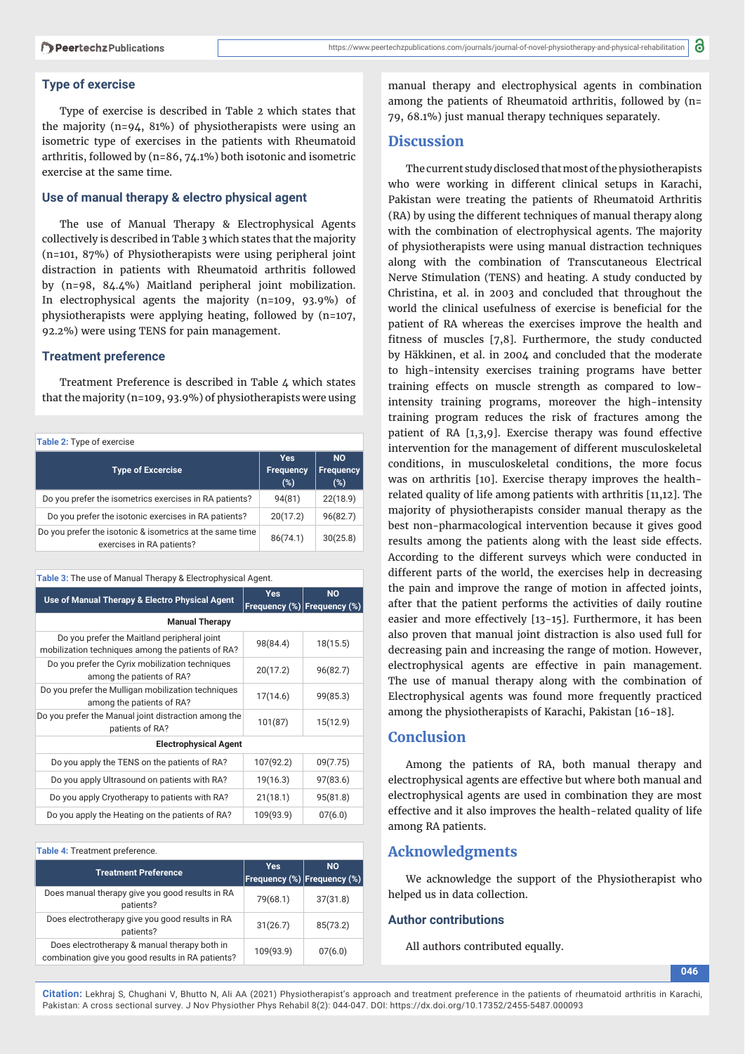#### **Type of exercise**

Type of exercise is described in Table 2 which states that the majority (n=94, 81%) of physiotherapists were using an isometric type of exercises in the patients with Rheumatoid arthritis, followed by (n=86, 74.1%) both isotonic and isometric exercise at the same time.

#### **Use of manual therapy & electro physical agent**

The use of Manual Therapy & Electrophysical Agents collectively is described in Table 3 which states that the majority (n=101, 87%) of Physiotherapists were using peripheral joint distraction in patients with Rheumatoid arthritis followed by (n=98, 84.4%) Maitland peripheral joint mobilization. In electrophysical agents the majority (n=109, 93.9%) of physiotherapists were applying heating, followed by (n=107, 92.2%) were using TENS for pain management.

#### **Treatment preference**

Treatment Preference is described in Table 4 which states that the majority (n=109, 93.9%) of physiotherapists were using

| Table 2: Type of exercise                                                             |                                       |                               |  |  |
|---------------------------------------------------------------------------------------|---------------------------------------|-------------------------------|--|--|
| <b>Type of Excercise</b>                                                              | <b>Yes</b><br><b>Frequency</b><br>(%) | <b>NO</b><br>Frequency<br>(%) |  |  |
| Do you prefer the isometrics exercises in RA patients?                                | 94(81)                                | 22(18.9)                      |  |  |
| Do you prefer the isotonic exercises in RA patients?                                  | 20(17.2)                              | 96(82.7)                      |  |  |
| Do you prefer the isotonic & isometrics at the same time<br>exercises in RA patients? | 86(74.1)                              | 30(25.8)                      |  |  |

#### **Table 3:** The use of Manual Therapy & Electrophysical Agent.

| Use of Manual Therapy & Electro Physical Agent                                                   | <b>Yes</b> | <b>NO</b><br>Frequency (%) Frequency (%) |  |  |
|--------------------------------------------------------------------------------------------------|------------|------------------------------------------|--|--|
| <b>Manual Therapy</b>                                                                            |            |                                          |  |  |
| Do you prefer the Maitland peripheral joint<br>mobilization techniques among the patients of RA? | 98(84.4)   | 18(15.5)                                 |  |  |
| Do you prefer the Cyrix mobilization techniques<br>among the patients of RA?                     | 20(17.2)   | 96(82.7)                                 |  |  |
| Do you prefer the Mulligan mobilization techniques<br>among the patients of RA?                  | 17(14.6)   | 99(85.3)                                 |  |  |
| Do you prefer the Manual joint distraction among the<br>patients of RA?                          | 101(87)    | 15(12.9)                                 |  |  |
| <b>Electrophysical Agent</b>                                                                     |            |                                          |  |  |
| Do you apply the TENS on the patients of RA?                                                     | 107(92.2)  | 09(7.75)                                 |  |  |
| Do you apply Ultrasound on patients with RA?                                                     | 19(16.3)   | 97(83.6)                                 |  |  |
| Do you apply Cryotherapy to patients with RA?                                                    | 21(18.1)   | 95(81.8)                                 |  |  |
| Do you apply the Heating on the patients of RA?                                                  | 109(93.9)  | 07(6.0)                                  |  |  |

#### **Table 4:** Treatment preference.

| <b>Treatment Preference</b>                                                                       | Yes       | <b>NO</b><br>Frequency (%) Frequency (%) |  |  |
|---------------------------------------------------------------------------------------------------|-----------|------------------------------------------|--|--|
| Does manual therapy give you good results in RA<br>patients?                                      | 79(68.1)  | 37(31.8)                                 |  |  |
| Does electrotherapy give you good results in RA<br>patients?                                      | 31(26.7)  | 85(73.2)                                 |  |  |
| Does electrotherapy & manual therapy both in<br>combination give you good results in RA patients? | 109(93.9) | 07(6.0)                                  |  |  |

manual therapy and electrophysical agents in combination among the patients of Rheumatoid arthritis, followed by (n= 79, 68.1%) just manual therapy techniques separately.

#### **Discussion**

The current study disclosed that most of the physiotherapists who were working in different clinical setups in Karachi, Pakistan were treating the patients of Rheumatoid Arthritis (RA) by using the different techniques of manual therapy along with the combination of electrophysical agents. The majority of physiotherapists were using manual distraction techniques along with the combination of Transcutaneous Electrical Nerve Stimulation (TENS) and heating. A study conducted by Christina, et al. in 2003 and concluded that throughout the world the clinical usefulness of exercise is beneficial for the patient of RA whereas the exercises improve the health and fitness of muscles  $[7,8]$ . Furthermore, the study conducted by Häkkinen, et al. in 2004 and concluded that the moderate to high-intensity exercises training programs have better training effects on muscle strength as compared to lowintensity training programs, moreover the high-intensity training program reduces the risk of fractures among the patient of RA [1,3,9]. Exercise therapy was found effective intervention for the management of different musculoskeletal conditions, in musculoskeletal conditions, the more focus was on arthritis [10]. Exercise therapy improves the healthrelated quality of life among patients with arthritis [11,12]. The majority of physiotherapists consider manual therapy as the best non-pharmacological intervention because it gives good results among the patients along with the least side effects. According to the different surveys which were conducted in different parts of the world, the exercises help in decreasing the pain and improve the range of motion in affected joints, after that the patient performs the activities of daily routine easier and more effectively [13-15]. Furthermore, it has been also proven that manual joint distraction is also used full for decreasing pain and increasing the range of motion. However, electrophysical agents are effective in pain management. The use of manual therapy along with the combination of Electrophysical agents was found more frequently practiced among the physiotherapists of Karachi, Pakistan [16-18].

#### **Conclusion**

Among the patients of RA, both manual therapy and electrophysical agents are effective but where both manual and electrophysical agents are used in combination they are most effective and it also improves the health-related quality of life among RA patients.

### **Acknowledgments**

We acknowledge the support of the Physiotherapist who helped us in data collection.

#### **Author contributions**

All authors contributed equally.

**046**